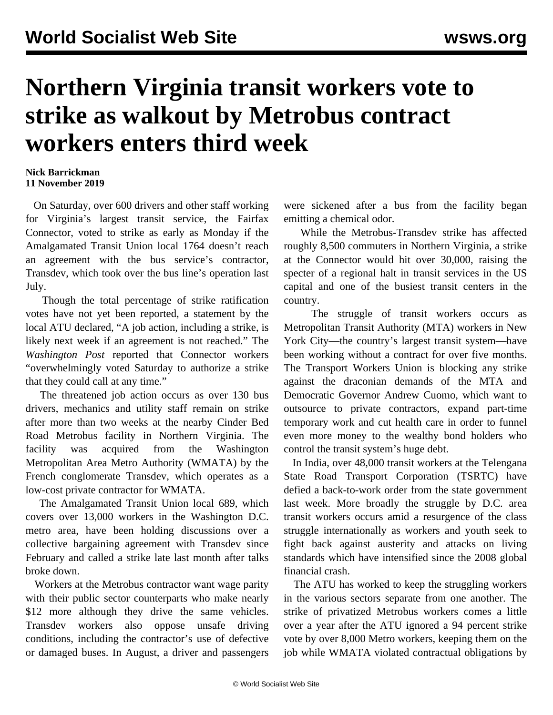## **Northern Virginia transit workers vote to strike as walkout by Metrobus contract workers enters third week**

## **Nick Barrickman 11 November 2019**

 On Saturday, over 600 drivers and other staff working for Virginia's largest transit service, the Fairfax Connector, voted to strike as early as Monday if the Amalgamated Transit Union local 1764 doesn't reach an agreement with the bus service's contractor, Transdev, which took over the bus line's operation last July.

 Though the total percentage of strike ratification votes have not yet been reported, a statement by the local ATU declared, "A job action, including a strike, is likely next week if an agreement is not reached." The *Washington Post* reported that Connector workers "overwhelmingly voted Saturday to authorize a strike that they could call at any time."

 The threatened job action occurs as over 130 bus drivers, mechanics and utility staff [remain](/en/articles/2019/10/28/metr-o28.html) on strike after more than two weeks at the nearby Cinder Bed Road Metrobus facility in Northern Virginia. The facility was acquired from the Washington Metropolitan Area Metro Authority (WMATA) by the French conglomerate Transdev, which operates as a low-cost private contractor for WMATA.

 The Amalgamated Transit Union local 689, which covers over 13,000 workers in the Washington D.C. metro area, have been holding discussions over a collective bargaining agreement with Transdev since February and called a strike late last month after talks broke down.

 Workers at the Metrobus contractor want wage parity with their public sector counterparts who make nearly \$12 more although they drive the same vehicles. Transdev workers also oppose unsafe driving conditions, including the contractor's use of defective or damaged buses. In August, a driver and passengers

were sickened after a bus from the facility began emitting a chemical odor.

 While the Metrobus-Transdev strike has affected roughly 8,500 commuters in Northern Virginia, a strike at the Connector would hit over 30,000, raising the specter of a regional halt in transit services in the US capital and one of the busiest transit centers in the country.

 The struggle of transit workers occurs as Metropolitan Transit Authority (MTA) workers in New York City—the country's largest transit system—have been working without a contract for over [five months.](/en/articles/2019/11/06/nyct-n06.html) The Transport Workers Union is blocking any strike against the draconian demands of the MTA and Democratic Governor Andrew Cuomo, which want to outsource to private contractors, expand part-time temporary work and cut health care in order to funnel even more money to the wealthy bond holders who control the transit system's huge debt.

 In India, over 48,000 transit workers at the [Telengana](/en/articles/2019/11/07/tele-n07.html) [State Road Transport Corporation](/en/articles/2019/11/07/tele-n07.html) (TSRTC) have defied a back-to-work order from the state government last week. More broadly the struggle by D.C. area transit workers occurs amid a resurgence of the class struggle internationally as workers and youth seek to [fight back](/en/articles/2019/10/25/pers-o25.html) against austerity and attacks on living standards which have intensified since the 2008 global financial crash.

 The ATU has worked to keep the struggling workers in the various sectors separate from one another. The strike of privatized Metrobus workers comes a little over a year after the ATU ignored a [94 percent](/en/articles/2018/07/18/metr-j18.html) strike vote by over 8,000 Metro workers, keeping them on the job while WMATA violated contractual obligations by